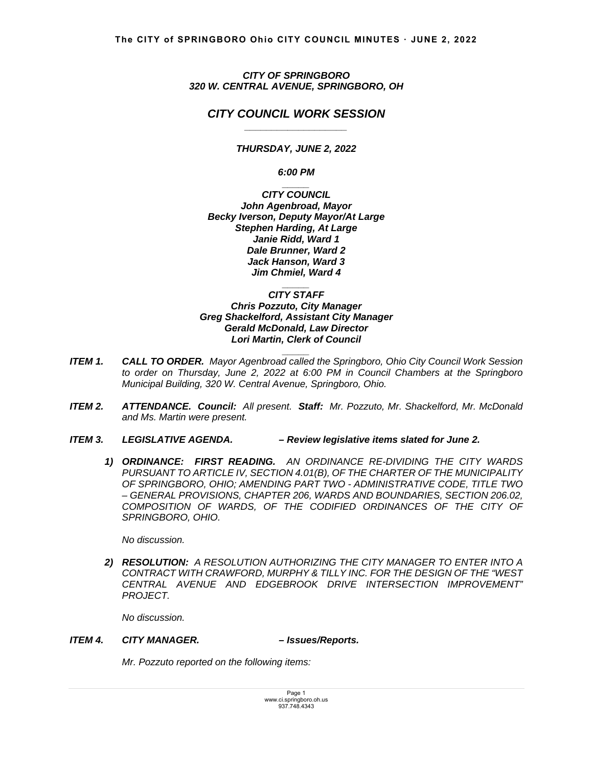*CITY OF SPRINGBORO 320 W. CENTRAL AVENUE, SPRINGBORO, OH* 

# *CITY COUNCIL WORK SESSION \_\_\_\_\_\_\_\_\_\_\_\_\_\_\_\_\_\_\_*

*THURSDAY, JUNE 2, 2022* 

*6:00 PM* 

*\_\_\_\_\_ CITY COUNCIL John Agenbroad, Mayor Becky Iverson, Deputy Mayor/At Large Stephen Harding, At Large Janie Ridd, Ward 1 Dale Brunner, Ward 2 Jack Hanson, Ward 3 Jim Chmiel, Ward 4* 

*\_\_\_\_\_ CITY STAFF Chris Pozzuto, City Manager Greg Shackelford, Assistant City Manager Gerald McDonald, Law Director Lori Martin, Clerk of Council* 

*ITEM 1. CALL TO ORDER. Mayor Agenbroad called the Springboro, Ohio City Council Work Session to order on Thursday, June 2, 2022 at 6:00 PM in Council Chambers at the Springboro Municipal Building, 320 W. Central Avenue, Springboro, Ohio.*

*\_\_\_\_\_*

- *ITEM 2. ATTENDANCE. Council: All present. Staff: Mr. Pozzuto, Mr. Shackelford, Mr. McDonald and Ms. Martin were present.*
- *ITEM 3. LEGISLATIVE AGENDA. Review legislative items slated for June 2.* 
	- *1) ORDINANCE: FIRST READING. AN ORDINANCE RE-DIVIDING THE CITY WARDS PURSUANT TO ARTICLE IV, SECTION 4.01(B), OF THE CHARTER OF THE MUNICIPALITY OF SPRINGBORO, OHIO; AMENDING PART TWO - ADMINISTRATIVE CODE, TITLE TWO – GENERAL PROVISIONS, CHAPTER 206, WARDS AND BOUNDARIES, SECTION 206.02, COMPOSITION OF WARDS, OF THE CODIFIED ORDINANCES OF THE CITY OF SPRINGBORO, OHIO.*

*No discussion.* 

*2) RESOLUTION: A RESOLUTION AUTHORIZING THE CITY MANAGER TO ENTER INTO A CONTRACT WITH CRAWFORD, MURPHY & TILLY INC. FOR THE DESIGN OF THE "WEST CENTRAL AVENUE AND EDGEBROOK DRIVE INTERSECTION IMPROVEMENT" PROJECT.* 

 *No discussion.* 

# *ITEM 4. CITY MANAGER. – Issues/Reports.*

 *Mr. Pozzuto reported on the following items:*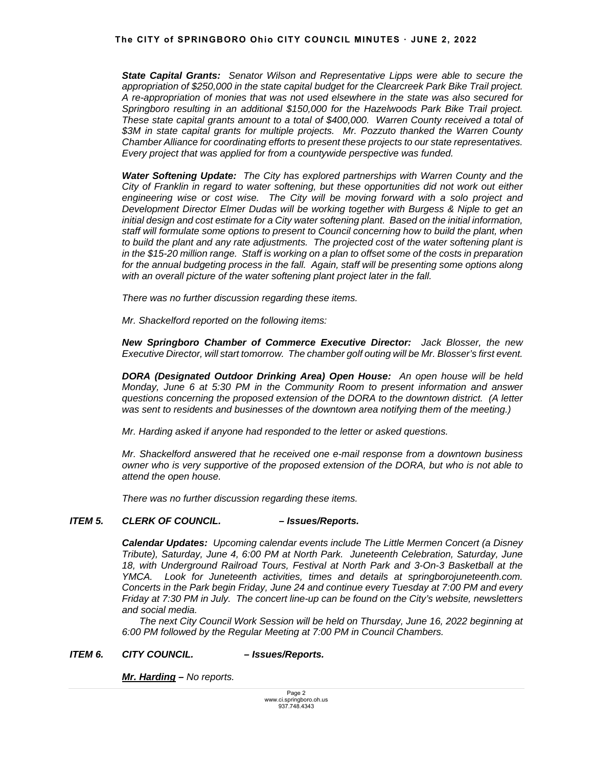### **The CITY of SPRINGBORO Ohio CITY COUNCIL MINUTES ꞏ JUNE 2, 2022**

*State Capital Grants: Senator Wilson and Representative Lipps were able to secure the appropriation of \$250,000 in the state capital budget for the Clearcreek Park Bike Trail project. A re-appropriation of monies that was not used elsewhere in the state was also secured for Springboro resulting in an additional \$150,000 for the Hazelwoods Park Bike Trail project. These state capital grants amount to a total of \$400,000. Warren County received a total of \$3M in state capital grants for multiple projects. Mr. Pozzuto thanked the Warren County Chamber Alliance for coordinating efforts to present these projects to our state representatives. Every project that was applied for from a countywide perspective was funded.* 

 *Water Softening Update: The City has explored partnerships with Warren County and the City of Franklin in regard to water softening, but these opportunities did not work out either*  engineering wise or cost wise. The City will be moving forward with a solo project and *Development Director Elmer Dudas will be working together with Burgess & Niple to get an initial design and cost estimate for a City water softening plant. Based on the initial information, staff will formulate some options to present to Council concerning how to build the plant, when to build the plant and any rate adjustments. The projected cost of the water softening plant is in the \$15-20 million range. Staff is working on a plan to offset some of the costs in preparation*  for the annual budgeting process in the fall. Again, staff will be presenting some options along *with an overall picture of the water softening plant project later in the fall.*

 *There was no further discussion regarding these items.* 

*Mr. Shackelford reported on the following items:* 

*New Springboro Chamber of Commerce Executive Director: Jack Blosser, the new Executive Director, will start tomorrow. The chamber golf outing will be Mr. Blosser's first event.*

 *DORA (Designated Outdoor Drinking Area) Open House: An open house will be held Monday, June 6 at 5:30 PM in the Community Room to present information and answer questions concerning the proposed extension of the DORA to the downtown district. (A letter was sent to residents and businesses of the downtown area notifying them of the meeting.)* 

 *Mr. Harding asked if anyone had responded to the letter or asked questions.* 

 *Mr. Shackelford answered that he received one e-mail response from a downtown business owner who is very supportive of the proposed extension of the DORA, but who is not able to attend the open house.* 

*There was no further discussion regarding these items.* 

### *ITEM 5. CLERK OF COUNCIL. – Issues/Reports.*

 *Calendar Updates: Upcoming calendar events include The Little Mermen Concert (a Disney Tribute), Saturday, June 4, 6:00 PM at North Park. Juneteenth Celebration, Saturday, June 18, with Underground Railroad Tours, Festival at North Park and 3-On-3 Basketball at the YMCA. Look for Juneteenth activities, times and details at springborojuneteenth.com. Concerts in the Park begin Friday, June 24 and continue every Tuesday at 7:00 PM and every Friday at 7:30 PM in July. The concert line-up can be found on the City's website, newsletters and social media.* 

 *The next City Council Work Session will be held on Thursday, June 16, 2022 beginning at 6:00 PM followed by the Regular Meeting at 7:00 PM in Council Chambers.* 

### *ITEM 6. CITY COUNCIL. – Issues/Reports.*

*Mr. Harding – No reports.*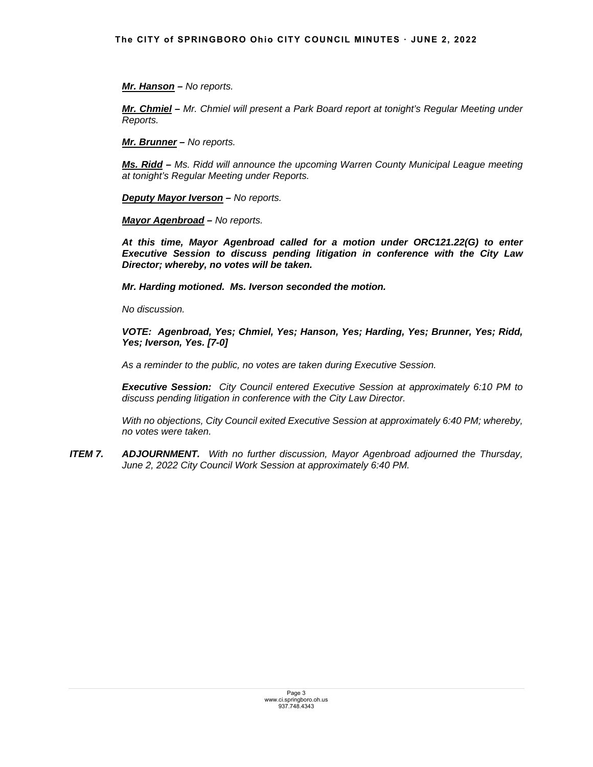*Mr. Hanson – No reports.* 

*Mr. Chmiel – Mr. Chmiel will present a Park Board report at tonight's Regular Meeting under Reports.* 

*Mr. Brunner – No reports.*

*Ms. Ridd – Ms. Ridd will announce the upcoming Warren County Municipal League meeting at tonight's Regular Meeting under Reports.*

*Deputy Mayor Iverson – No reports.* 

*Mayor Agenbroad – No reports.* 

*At this time, Mayor Agenbroad called for a motion under ORC121.22(G) to enter Executive Session to discuss pending litigation in conference with the City Law Director; whereby, no votes will be taken.* 

*Mr. Harding motioned. Ms. Iverson seconded the motion.* 

 *No discussion.* 

*VOTE: Agenbroad, Yes; Chmiel, Yes; Hanson, Yes; Harding, Yes; Brunner, Yes; Ridd, Yes; Iverson, Yes. [7-0]* 

*As a reminder to the public, no votes are taken during Executive Session.* 

*Executive Session: City Council entered Executive Session at approximately 6:10 PM to discuss pending litigation in conference with the City Law Director.*

*With no objections, City Council exited Executive Session at approximately 6:40 PM; whereby, no votes were taken.* 

*ITEM 7. ADJOURNMENT. With no further discussion, Mayor Agenbroad adjourned the Thursday, June 2, 2022 City Council Work Session at approximately 6:40 PM.*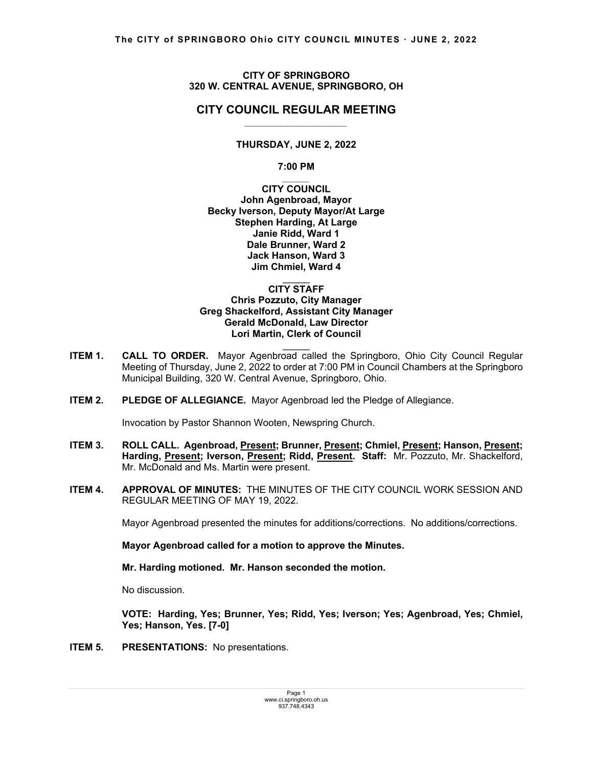### **CITY OF SPRINGBORO 320 W. CENTRAL AVENUE, SPRINGBORO, OH**

## **CITY COUNCIL REGULAR MEETING** *\_\_\_\_\_\_\_\_\_\_\_\_\_\_\_\_\_\_\_*

# **THURSDAY, JUNE 2, 2022**

### **7:00 PM**

*\_\_\_\_\_* **CITY COUNCIL John Agenbroad, Mayor Becky Iverson, Deputy Mayor/At Large Stephen Harding, At Large Janie Ridd, Ward 1 Dale Brunner, Ward 2 Jack Hanson, Ward 3 Jim Chmiel, Ward 4** 

#### $\mathcal{L}=\mathcal{L}$ **CITY STAFF Chris Pozzuto, City Manager Greg Shackelford, Assistant City Manager Gerald McDonald, Law Director Lori Martin, Clerk of Council**

**ITEM 1. CALL TO ORDER.** Mayor Agenbroad called the Springboro, Ohio City Council Regular Meeting of Thursday, June 2, 2022 to order at 7:00 PM in Council Chambers at the Springboro Municipal Building, 320 W. Central Avenue, Springboro, Ohio.

 $\mathcal{L}=\mathcal{L}$ 

**ITEM 2. PLEDGE OF ALLEGIANCE.** Mayor Agenbroad led the Pledge of Allegiance.

Invocation by Pastor Shannon Wooten, Newspring Church.

- ITEM 3. ROLL CALL. Agenbroad, Present; Brunner, Present; Chmiel, Present; Hanson, Present; **Harding, Present; Iverson, Present; Ridd, Present. Staff:** Mr. Pozzuto, Mr. Shackelford, Mr. McDonald and Ms. Martin were present.
- **ITEM 4. APPROVAL OF MINUTES:** THE MINUTES OF THE CITY COUNCIL WORK SESSION AND REGULAR MEETING OF MAY 19, 2022.

Mayor Agenbroad presented the minutes for additions/corrections. No additions/corrections.

## **Mayor Agenbroad called for a motion to approve the Minutes.**

 **Mr. Harding motioned. Mr. Hanson seconded the motion.** 

No discussion.

 **VOTE: Harding, Yes; Brunner, Yes; Ridd, Yes; Iverson; Yes; Agenbroad, Yes; Chmiel, Yes; Hanson, Yes. [7-0]** 

**ITEM 5. PRESENTATIONS:** No presentations.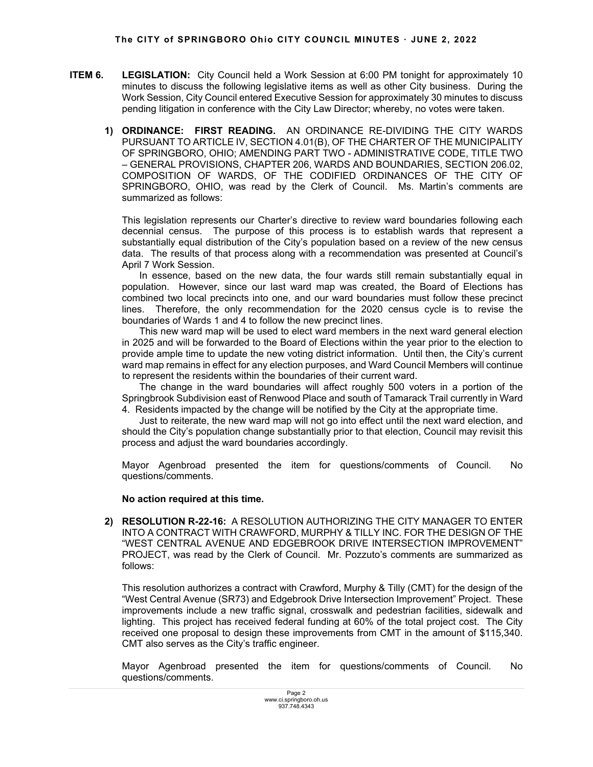- **ITEM 6.** LEGISLATION: City Council held a Work Session at 6:00 PM tonight for approximately 10 minutes to discuss the following legislative items as well as other City business. During the Work Session, City Council entered Executive Session for approximately 30 minutes to discuss pending litigation in conference with the City Law Director; whereby, no votes were taken.
	- **1) ORDINANCE: FIRST READING.** AN ORDINANCE RE-DIVIDING THE CITY WARDS PURSUANT TO ARTICLE IV, SECTION 4.01(B), OF THE CHARTER OF THE MUNICIPALITY OF SPRINGBORO, OHIO; AMENDING PART TWO - ADMINISTRATIVE CODE, TITLE TWO – GENERAL PROVISIONS, CHAPTER 206, WARDS AND BOUNDARIES, SECTION 206.02, COMPOSITION OF WARDS, OF THE CODIFIED ORDINANCES OF THE CITY OF SPRINGBORO, OHIO, was read by the Clerk of Council. Ms. Martin's comments are summarized as follows:

This legislation represents our Charter's directive to review ward boundaries following each decennial census. The purpose of this process is to establish wards that represent a substantially equal distribution of the City's population based on a review of the new census data. The results of that process along with a recommendation was presented at Council's April 7 Work Session.

 In essence, based on the new data, the four wards still remain substantially equal in population. However, since our last ward map was created, the Board of Elections has combined two local precincts into one, and our ward boundaries must follow these precinct lines. Therefore, the only recommendation for the 2020 census cycle is to revise the boundaries of Wards 1 and 4 to follow the new precinct lines.

 This new ward map will be used to elect ward members in the next ward general election in 2025 and will be forwarded to the Board of Elections within the year prior to the election to provide ample time to update the new voting district information. Until then, the City's current ward map remains in effect for any election purposes, and Ward Council Members will continue to represent the residents within the boundaries of their current ward.

 The change in the ward boundaries will affect roughly 500 voters in a portion of the Springbrook Subdivision east of Renwood Place and south of Tamarack Trail currently in Ward 4. Residents impacted by the change will be notified by the City at the appropriate time.

 Just to reiterate, the new ward map will not go into effect until the next ward election, and should the City's population change substantially prior to that election, Council may revisit this process and adjust the ward boundaries accordingly.

Mayor Agenbroad presented the item for questions/comments of Council. No questions/comments.

### **No action required at this time.**

**2) RESOLUTION R-22-16:** A RESOLUTION AUTHORIZING THE CITY MANAGER TO ENTER INTO A CONTRACT WITH CRAWFORD, MURPHY & TILLY INC. FOR THE DESIGN OF THE "WEST CENTRAL AVENUE AND EDGEBROOK DRIVE INTERSECTION IMPROVEMENT" PROJECT, was read by the Clerk of Council. Mr. Pozzuto's comments are summarized as follows:

This resolution authorizes a contract with Crawford, Murphy & Tilly (CMT) for the design of the "West Central Avenue (SR73) and Edgebrook Drive Intersection Improvement" Project. These improvements include a new traffic signal, crosswalk and pedestrian facilities, sidewalk and lighting. This project has received federal funding at 60% of the total project cost. The City received one proposal to design these improvements from CMT in the amount of \$115,340. CMT also serves as the City's traffic engineer.

Mayor Agenbroad presented the item for questions/comments of Council. No questions/comments.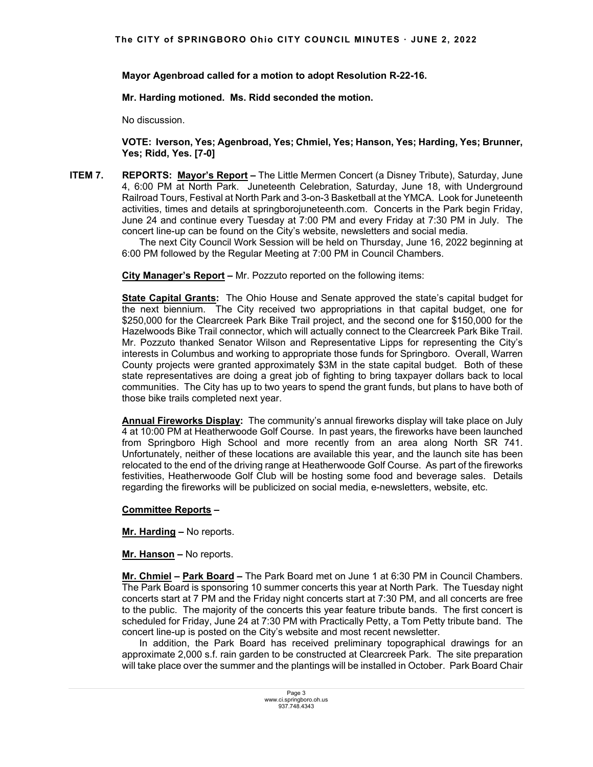**Mayor Agenbroad called for a motion to adopt Resolution R-22-16.** 

 **Mr. Harding motioned. Ms. Ridd seconded the motion.** 

No discussion.

 **VOTE: Iverson, Yes; Agenbroad, Yes; Chmiel, Yes; Hanson, Yes; Harding, Yes; Brunner, Yes; Ridd, Yes. [7-0]**

**ITEM 7. REPORTS: Mayor's Report –** The Little Mermen Concert (a Disney Tribute), Saturday, June 4, 6:00 PM at North Park. Juneteenth Celebration, Saturday, June 18, with Underground Railroad Tours, Festival at North Park and 3-on-3 Basketball at the YMCA. Look for Juneteenth activities, times and details at springborojuneteenth.com. Concerts in the Park begin Friday, June 24 and continue every Tuesday at 7:00 PM and every Friday at 7:30 PM in July. The concert line-up can be found on the City's website, newsletters and social media.

 The next City Council Work Session will be held on Thursday, June 16, 2022 beginning at 6:00 PM followed by the Regular Meeting at 7:00 PM in Council Chambers.

 **City Manager's Report –** Mr. Pozzuto reported on the following items:

**State Capital Grants:** The Ohio House and Senate approved the state's capital budget for the next biennium. The City received two appropriations in that capital budget, one for \$250,000 for the Clearcreek Park Bike Trail project, and the second one for \$150,000 for the Hazelwoods Bike Trail connector, which will actually connect to the Clearcreek Park Bike Trail. Mr. Pozzuto thanked Senator Wilson and Representative Lipps for representing the City's interests in Columbus and working to appropriate those funds for Springboro. Overall, Warren County projects were granted approximately \$3M in the state capital budget. Both of these state representatives are doing a great job of fighting to bring taxpayer dollars back to local communities. The City has up to two years to spend the grant funds, but plans to have both of those bike trails completed next year.

**Annual Fireworks Display:** The community's annual fireworks display will take place on July 4 at 10:00 PM at Heatherwoode Golf Course. In past years, the fireworks have been launched from Springboro High School and more recently from an area along North SR 741. Unfortunately, neither of these locations are available this year, and the launch site has been relocated to the end of the driving range at Heatherwoode Golf Course. As part of the fireworks festivities, Heatherwoode Golf Club will be hosting some food and beverage sales. Details regarding the fireworks will be publicized on social media, e-newsletters, website, etc.

## **Committee Reports –**

**Mr. Harding –** No reports.

**Mr. Hanson –** No reports.

**Mr. Chmiel – Park Board –** The Park Board met on June 1 at 6:30 PM in Council Chambers. The Park Board is sponsoring 10 summer concerts this year at North Park. The Tuesday night concerts start at 7 PM and the Friday night concerts start at 7:30 PM, and all concerts are free to the public. The majority of the concerts this year feature tribute bands. The first concert is scheduled for Friday, June 24 at 7:30 PM with Practically Petty, a Tom Petty tribute band. The concert line-up is posted on the City's website and most recent newsletter.

 In addition, the Park Board has received preliminary topographical drawings for an approximate 2,000 s.f. rain garden to be constructed at Clearcreek Park. The site preparation will take place over the summer and the plantings will be installed in October. Park Board Chair